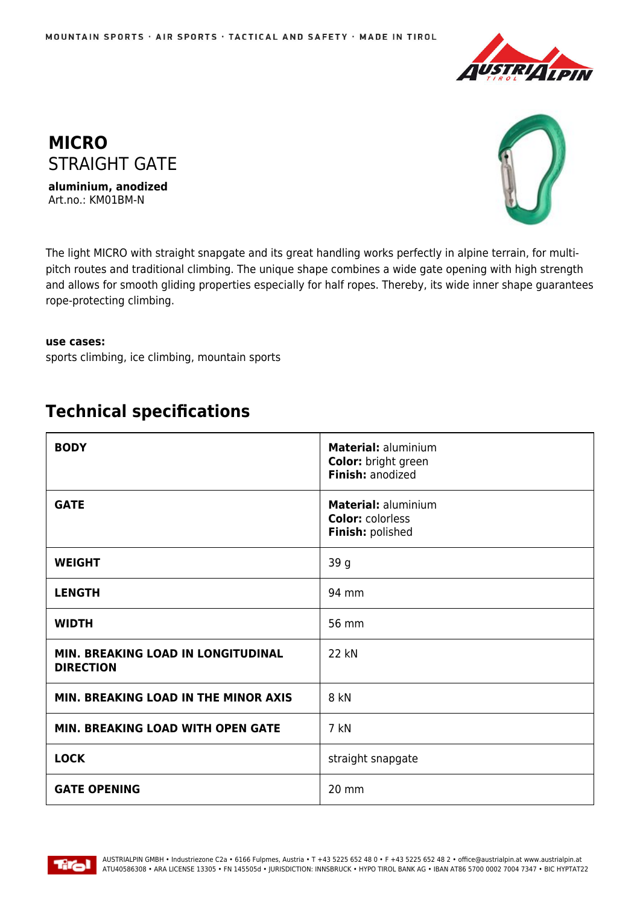



**aluminium, anodized** Art.no.: KM01BM-N



The light MICRO with straight snapgate and its great handling works perfectly in alpine terrain, for multipitch routes and traditional climbing. The unique shape combines a wide gate opening with high strength and allows for smooth gliding properties especially for half ropes. Thereby, its wide inner shape guarantees rope-protecting climbing.

## **use cases:**

sports climbing, ice climbing, mountain sports

## **Technical specifications**

| <b>BODY</b>                                            | Material: aluminium<br>Color: bright green<br>Finish: anodized     |
|--------------------------------------------------------|--------------------------------------------------------------------|
| <b>GATE</b>                                            | Material: aluminium<br><b>Color: colorless</b><br>Finish: polished |
| <b>WEIGHT</b>                                          | 39 g                                                               |
| <b>LENGTH</b>                                          | 94 mm                                                              |
| <b>WIDTH</b>                                           | 56 mm                                                              |
| MIN. BREAKING LOAD IN LONGITUDINAL<br><b>DIRECTION</b> | 22 kN                                                              |
| MIN. BREAKING LOAD IN THE MINOR AXIS                   | 8 kN                                                               |
| MIN. BREAKING LOAD WITH OPEN GATE                      | 7 kN                                                               |
| <b>LOCK</b>                                            | straight snapgate                                                  |
| <b>GATE OPENING</b>                                    | 20 mm                                                              |